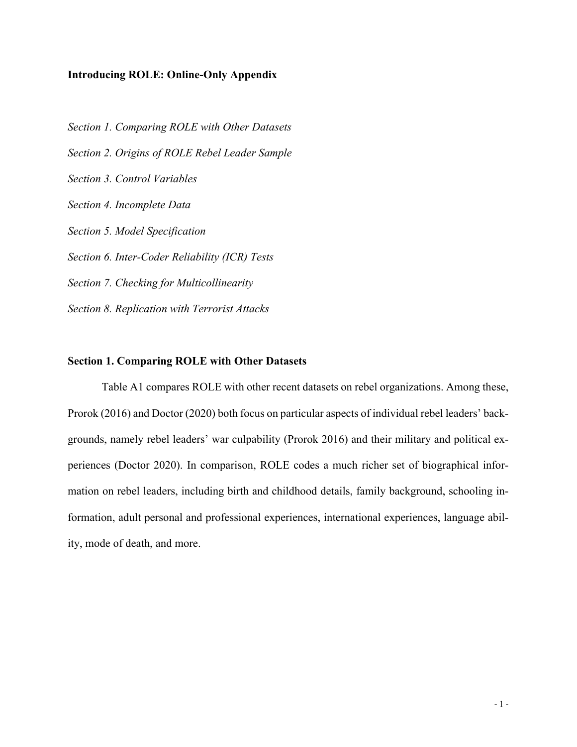### **Introducing ROLE: Online-Only Appendix**

*Section 1. Comparing ROLE with Other Datasets Section 2. Origins of ROLE Rebel Leader Sample Section 3. Control Variables Section 4. Incomplete Data Section 5. Model Specification Section 6. Inter-Coder Reliability (ICR) Tests Section 7. Checking for Multicollinearity Section 8. Replication with Terrorist Attacks*

#### **Section 1. Comparing ROLE with Other Datasets**

Table A1 compares ROLE with other recent datasets on rebel organizations. Among these, Prorok (2016) and Doctor (2020) both focus on particular aspects of individual rebel leaders' backgrounds, namely rebel leaders' war culpability (Prorok 2016) and their military and political experiences (Doctor 2020). In comparison, ROLE codes a much richer set of biographical information on rebel leaders, including birth and childhood details, family background, schooling information, adult personal and professional experiences, international experiences, language ability, mode of death, and more.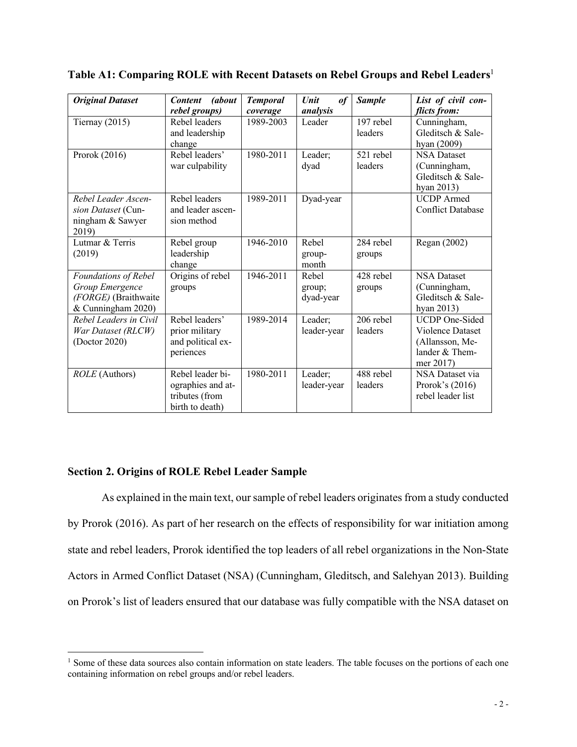| <b>Original Dataset</b>                                                               | <i>(about</i><br><b>Content</b><br>rebel groups)                           | <b>Temporal</b><br>coverage | <b>Unit</b><br>of<br>analysis | <b>Sample</b>          | List of civil con-<br>flicts from:                                                                 |
|---------------------------------------------------------------------------------------|----------------------------------------------------------------------------|-----------------------------|-------------------------------|------------------------|----------------------------------------------------------------------------------------------------|
| Tiernay $(2015)$                                                                      | Rebel leaders<br>and leadership                                            | 1989-2003                   | Leader                        | 197 rebel<br>leaders   | Cunningham,<br>Gleditsch & Sale-                                                                   |
|                                                                                       | change                                                                     |                             |                               |                        | hyan (2009)                                                                                        |
| Prorok (2016)                                                                         | Rebel leaders'<br>war culpability                                          | 1980-2011                   | Leader;<br>dyad               | 521 rebel<br>leaders   | <b>NSA Dataset</b><br>(Cunningham,<br>Gleditsch & Sale-<br>hyan 2013)                              |
| Rebel Leader Ascen-<br>sion Dataset (Cun-<br>ningham & Sawyer<br>2019)                | Rebel leaders<br>and leader ascen-<br>sion method                          | 1989-2011                   | Dyad-year                     |                        | <b>UCDP</b> Armed<br><b>Conflict Database</b>                                                      |
| Lutmar & Terris<br>(2019)                                                             | Rebel group<br>leadership<br>change                                        | 1946-2010                   | Rebel<br>group-<br>month      | 284 rebel<br>groups    | Regan (2002)                                                                                       |
| Foundations of Rebel<br>Group Emergence<br>(FORGE) (Braithwaite<br>& Cunningham 2020) | Origins of rebel<br>groups                                                 | 1946-2011                   | Rebel<br>group;<br>dyad-year  | 428 rebel<br>groups    | <b>NSA Dataset</b><br>(Cunningham,<br>Gleditsch & Sale-<br>hyan 2013)                              |
| Rebel Leaders in Civil<br>War Dataset (RLCW)<br>(Doctor 2020)                         | Rebel leaders'<br>prior military<br>and political ex-<br>periences         | 1989-2014                   | Leader;<br>leader-year        | $206$ rebel<br>leaders | <b>UCDP</b> One-Sided<br><b>Violence Dataset</b><br>(Allansson, Me-<br>lander & Them-<br>mer 2017) |
| ROLE (Authors)                                                                        | Rebel leader bi-<br>ographies and at-<br>tributes (from<br>birth to death) | 1980-2011                   | Leader;<br>leader-year        | 488 rebel<br>leaders   | NSA Dataset via<br>Prorok's $(2016)$<br>rebel leader list                                          |

**Table A1: Comparing ROLE with Recent Datasets on Rebel Groups and Rebel Leaders**<sup>1</sup>

## **Section 2. Origins of ROLE Rebel Leader Sample**

As explained in the main text, our sample of rebel leaders originates from a study conducted by Prorok (2016). As part of her research on the effects of responsibility for war initiation among state and rebel leaders, Prorok identified the top leaders of all rebel organizations in the Non-State Actors in Armed Conflict Dataset (NSA) (Cunningham, Gleditsch, and Salehyan 2013). Building on Prorok's list of leaders ensured that our database was fully compatible with the NSA dataset on

<sup>&</sup>lt;sup>1</sup> Some of these data sources also contain information on state leaders. The table focuses on the portions of each one containing information on rebel groups and/or rebel leaders.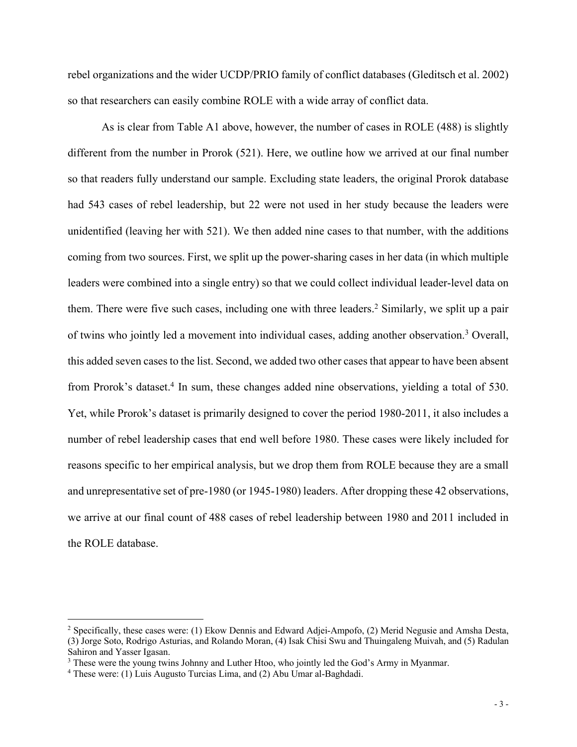rebel organizations and the wider UCDP/PRIO family of conflict databases (Gleditsch et al. 2002) so that researchers can easily combine ROLE with a wide array of conflict data.

As is clear from Table A1 above, however, the number of cases in ROLE (488) is slightly different from the number in Prorok (521). Here, we outline how we arrived at our final number so that readers fully understand our sample. Excluding state leaders, the original Prorok database had 543 cases of rebel leadership, but 22 were not used in her study because the leaders were unidentified (leaving her with 521). We then added nine cases to that number, with the additions coming from two sources. First, we split up the power-sharing cases in her data (in which multiple leaders were combined into a single entry) so that we could collect individual leader-level data on them. There were five such cases, including one with three leaders. <sup>2</sup> Similarly, we split up a pair of twins who jointly led a movement into individual cases, adding another observation.3 Overall, this added seven cases to the list. Second, we added two other cases that appear to have been absent from Prorok's dataset.<sup>4</sup> In sum, these changes added nine observations, yielding a total of 530. Yet, while Prorok's dataset is primarily designed to cover the period 1980-2011, it also includes a number of rebel leadership cases that end well before 1980. These cases were likely included for reasons specific to her empirical analysis, but we drop them from ROLE because they are a small and unrepresentative set of pre-1980 (or 1945-1980) leaders. After dropping these 42 observations, we arrive at our final count of 488 cases of rebel leadership between 1980 and 2011 included in the ROLE database.

<sup>2</sup> Specifically, these cases were: (1) Ekow Dennis and Edward Adjei-Ampofo, (2) Merid Negusie and Amsha Desta, (3) Jorge Soto, Rodrigo Asturias, and Rolando Moran, (4) Isak Chisi Swu and Thuingaleng Muivah, and (5) Radulan Sahiron and Yasser Igasan.

<sup>&</sup>lt;sup>3</sup> These were the young twins Johnny and Luther Htoo, who jointly led the God's Army in Myanmar.

<sup>4</sup> These were: (1) Luis Augusto Turcias Lima, and (2) Abu Umar al-Baghdadi.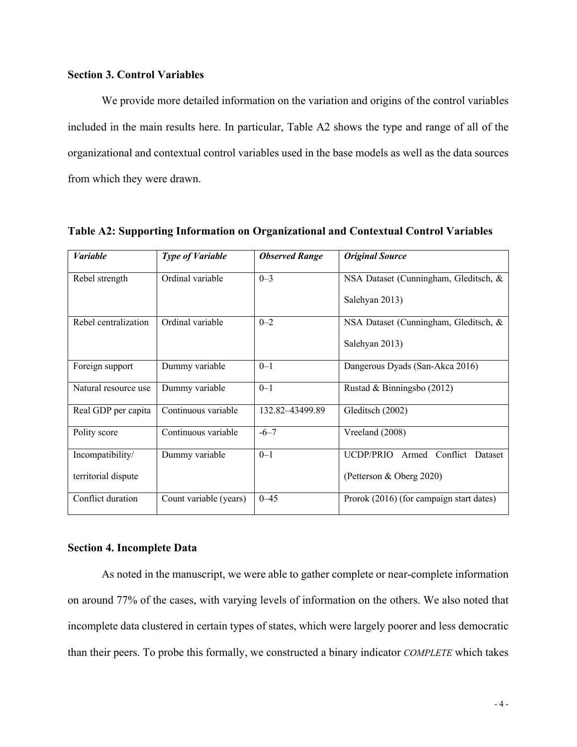## **Section 3. Control Variables**

We provide more detailed information on the variation and origins of the control variables included in the main results here. In particular, Table A2 shows the type and range of all of the organizational and contextual control variables used in the base models as well as the data sources from which they were drawn.

| <b>Variable</b>      | <b>Type of Variable</b> | <b>Observed Range</b> | <b>Original Source</b>                        |
|----------------------|-------------------------|-----------------------|-----------------------------------------------|
| Rebel strength       | Ordinal variable        | $0 - 3$               | NSA Dataset (Cunningham, Gleditsch, &         |
|                      |                         |                       | Salehyan 2013)                                |
| Rebel centralization | Ordinal variable        | $0 - 2$               | NSA Dataset (Cunningham, Gleditsch, &         |
|                      |                         |                       | Salehyan 2013)                                |
| Foreign support      | Dummy variable          | $0 - 1$               | Dangerous Dyads (San-Akca 2016)               |
| Natural resource use | Dummy variable          | $0 - 1$               | Rustad & Binningsbo (2012)                    |
| Real GDP per capita  | Continuous variable     | 132.82-43499.89       | Gleditsch (2002)                              |
| Polity score         | Continuous variable     | $-6 - 7$              | Vreeland (2008)                               |
| Incompatibility/     | Dummy variable          | $0 - 1$               | <b>UCDP/PRIO</b><br>Armed Conflict<br>Dataset |
| territorial dispute  |                         |                       | (Petterson & Oberg 2020)                      |
| Conflict duration    | Count variable (years)  | $0 - 45$              | Prorok (2016) (for campaign start dates)      |

**Table A2: Supporting Information on Organizational and Contextual Control Variables** 

#### **Section 4. Incomplete Data**

As noted in the manuscript, we were able to gather complete or near-complete information on around 77% of the cases, with varying levels of information on the others. We also noted that incomplete data clustered in certain types of states, which were largely poorer and less democratic than their peers. To probe this formally, we constructed a binary indicator *COMPLETE* which takes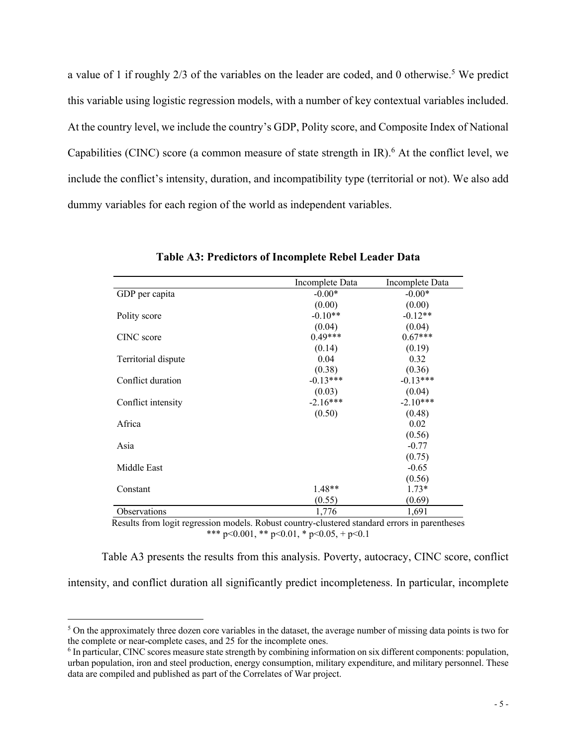a value of 1 if roughly  $2/3$  of the variables on the leader are coded, and 0 otherwise.<sup>5</sup> We predict this variable using logistic regression models, with a number of key contextual variables included. At the country level, we include the country's GDP, Polity score, and Composite Index of National Capabilities (CINC) score (a common measure of state strength in  $IR$ ).<sup>6</sup> At the conflict level, we include the conflict's intensity, duration, and incompatibility type (territorial or not). We also add dummy variables for each region of the world as independent variables.

|                     | Incomplete Data | Incomplete Data |
|---------------------|-----------------|-----------------|
| GDP per capita      | $-0.00*$        | $-0.00*$        |
|                     | (0.00)          | (0.00)          |
| Polity score        | $-0.10**$       | $-0.12**$       |
|                     | (0.04)          | (0.04)          |
| CINC score          | $0.49***$       | $0.67***$       |
|                     | (0.14)          | (0.19)          |
| Territorial dispute | 0.04            | 0.32            |
|                     | (0.38)          | (0.36)          |
| Conflict duration   | $-0.13***$      | $-0.13***$      |
|                     | (0.03)          | (0.04)          |
| Conflict intensity  | $-2.16***$      | $-2.10***$      |
|                     | (0.50)          | (0.48)          |
| Africa              |                 | 0.02            |
|                     |                 | (0.56)          |
| Asia                |                 | $-0.77$         |
|                     |                 | (0.75)          |
| Middle East         |                 | $-0.65$         |
|                     |                 | (0.56)          |
| Constant            | $1.48**$        | $1.73*$         |
|                     | (0.55)          | (0.69)          |
| Observations        | 1,776           | 1,691           |

**Table A3: Predictors of Incomplete Rebel Leader Data**

Results from logit regression models. Robust country-clustered standard errors in parentheses \*\*\* p<0.001, \*\* p<0.01, \* p<0.05, + p<0.1

Table A3 presents the results from this analysis. Poverty, autocracy, CINC score, conflict intensity, and conflict duration all significantly predict incompleteness. In particular, incomplete

<sup>&</sup>lt;sup>5</sup> On the approximately three dozen core variables in the dataset, the average number of missing data points is two for the complete or near-complete cases, and 25 for the incomplete ones.

<sup>6</sup> In particular, CINC scores measure state strength by combining information on six different components: population, urban population, iron and steel production, energy consumption, military expenditure, and military personnel. These data are compiled and published as part of the Correlates of War project.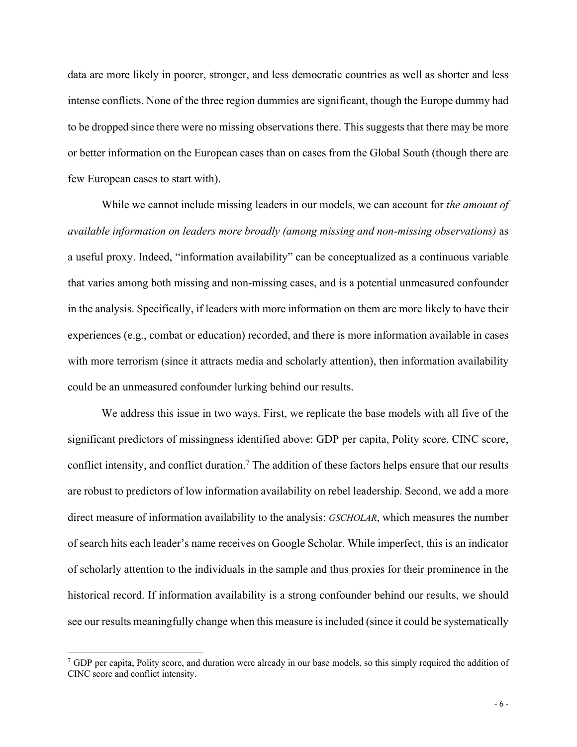data are more likely in poorer, stronger, and less democratic countries as well as shorter and less intense conflicts. None of the three region dummies are significant, though the Europe dummy had to be dropped since there were no missing observations there. This suggests that there may be more or better information on the European cases than on cases from the Global South (though there are few European cases to start with).

While we cannot include missing leaders in our models, we can account for *the amount of available information on leaders more broadly (among missing and non-missing observations)* as a useful proxy. Indeed, "information availability" can be conceptualized as a continuous variable that varies among both missing and non-missing cases, and is a potential unmeasured confounder in the analysis. Specifically, if leaders with more information on them are more likely to have their experiences (e.g., combat or education) recorded, and there is more information available in cases with more terrorism (since it attracts media and scholarly attention), then information availability could be an unmeasured confounder lurking behind our results.

We address this issue in two ways. First, we replicate the base models with all five of the significant predictors of missingness identified above: GDP per capita, Polity score, CINC score, conflict intensity, and conflict duration.<sup>7</sup> The addition of these factors helps ensure that our results are robust to predictors of low information availability on rebel leadership. Second, we add a more direct measure of information availability to the analysis: *GSCHOLAR*, which measures the number of search hits each leader's name receives on Google Scholar. While imperfect, this is an indicator of scholarly attention to the individuals in the sample and thus proxies for their prominence in the historical record. If information availability is a strong confounder behind our results, we should see our results meaningfully change when this measure is included (since it could be systematically

<sup>7</sup> GDP per capita, Polity score, and duration were already in our base models, so this simply required the addition of CINC score and conflict intensity.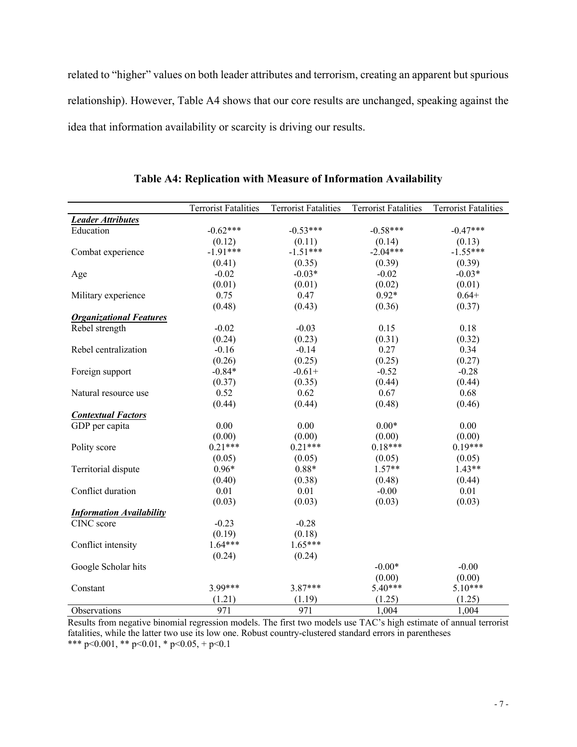related to "higher" values on both leader attributes and terrorism, creating an apparent but spurious relationship). However, Table A4 shows that our core results are unchanged, speaking against the idea that information availability or scarcity is driving our results.

|                                 | <b>Terrorist Fatalities</b> | <b>Terrorist Fatalities</b> | <b>Terrorist Fatalities</b> | Terrorist Fatalities |
|---------------------------------|-----------------------------|-----------------------------|-----------------------------|----------------------|
| <b>Leader Attributes</b>        |                             |                             |                             |                      |
| Education                       | $-0.62***$                  | $-0.53***$                  | $-0.58***$                  | $-0.47***$           |
|                                 | (0.12)                      | (0.11)                      | (0.14)                      | (0.13)               |
| Combat experience               | $-1.91***$                  | $-1.51***$                  | $-2.04***$                  | $-1.55***$           |
|                                 | (0.41)                      | (0.35)                      | (0.39)                      | (0.39)               |
| Age                             | $-0.02$                     | $-0.03*$                    | $-0.02$                     | $-0.03*$             |
|                                 | (0.01)                      | (0.01)                      | (0.02)                      | (0.01)               |
| Military experience             | 0.75                        | 0.47                        | $0.92*$                     | $0.64+$              |
|                                 | (0.48)                      | (0.43)                      | (0.36)                      | (0.37)               |
| <b>Organizational Features</b>  |                             |                             |                             |                      |
| Rebel strength                  | $-0.02$                     | $-0.03$                     | 0.15                        | 0.18                 |
|                                 | (0.24)                      | (0.23)                      | (0.31)                      | (0.32)               |
| Rebel centralization            | $-0.16$                     | $-0.14$                     | 0.27                        | 0.34                 |
|                                 | (0.26)                      | (0.25)                      | (0.25)                      | (0.27)               |
| Foreign support                 | $-0.84*$                    | $-0.61+$                    | $-0.52$                     | $-0.28$              |
|                                 | (0.37)                      | (0.35)                      | (0.44)                      | (0.44)               |
| Natural resource use            | 0.52                        | 0.62                        | 0.67                        | 0.68                 |
|                                 | (0.44)                      | (0.44)                      | (0.48)                      | (0.46)               |
| <b>Contextual Factors</b>       |                             |                             |                             |                      |
| GDP per capita                  | 0.00                        | 0.00                        | $0.00*$                     | 0.00                 |
|                                 | (0.00)                      | (0.00)                      | (0.00)                      | (0.00)               |
| Polity score                    | $0.21***$                   | $0.21***$                   | $0.18***$                   | $0.19***$            |
|                                 | (0.05)                      | (0.05)                      | (0.05)                      | (0.05)               |
| Territorial dispute             | $0.96*$                     | $0.88*$                     | $1.57**$                    | $1.43**$             |
|                                 | (0.40)                      | (0.38)                      | (0.48)                      | (0.44)               |
| Conflict duration               | 0.01                        | 0.01                        | $-0.00$                     | 0.01                 |
|                                 | (0.03)                      | (0.03)                      | (0.03)                      | (0.03)               |
| <b>Information Availability</b> |                             |                             |                             |                      |
| CINC score                      | $-0.23$                     | $-0.28$                     |                             |                      |
|                                 | (0.19)                      | (0.18)                      |                             |                      |
| Conflict intensity              | $1.64***$                   | $1.65***$                   |                             |                      |
|                                 | (0.24)                      | (0.24)                      |                             |                      |
| Google Scholar hits             |                             |                             | $-0.00*$                    | $-0.00$              |
|                                 |                             |                             | (0.00)                      | (0.00)               |
| Constant                        | 3.99***                     | $3.87***$                   | $5.40***$                   | $5.10***$            |
|                                 | (1.21)                      | (1.19)                      | (1.25)                      | (1.25)               |
| Observations                    | 971                         | 971                         | 1,004                       | 1,004                |

**Table A4: Replication with Measure of Information Availability**

Results from negative binomial regression models. The first two models use TAC's high estimate of annual terrorist fatalities, while the latter two use its low one. Robust country-clustered standard errors in parentheses \*\*\* p<0.001, \*\* p<0.01, \* p<0.05, + p<0.1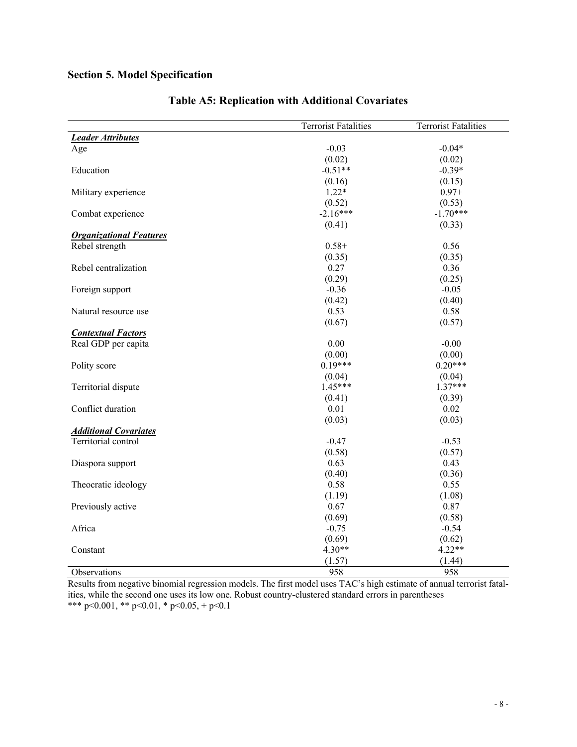# **Section 5. Model Specification**

|                                | <b>Terrorist Fatalities</b> | <b>Terrorist Fatalities</b> |
|--------------------------------|-----------------------------|-----------------------------|
| <b>Leader Attributes</b>       |                             |                             |
| Age                            | $-0.03$                     | $-0.04*$                    |
|                                | (0.02)                      | (0.02)                      |
| Education                      | $-0.51**$                   | $-0.39*$                    |
|                                | (0.16)                      | (0.15)                      |
| Military experience            | $1.22*$                     | $0.97 +$                    |
|                                | (0.52)                      | (0.53)                      |
| Combat experience              | $-2.16***$                  | $-1.70***$                  |
|                                | (0.41)                      | (0.33)                      |
| <b>Organizational Features</b> |                             |                             |
| Rebel strength                 | $0.58+$                     | 0.56                        |
|                                | (0.35)                      | (0.35)                      |
| Rebel centralization           | 0.27                        | 0.36                        |
|                                | (0.29)                      | (0.25)                      |
| Foreign support                | $-0.36$                     | $-0.05$                     |
|                                | (0.42)                      | (0.40)                      |
| Natural resource use           | 0.53                        | 0.58                        |
|                                | (0.67)                      | (0.57)                      |
| <b>Contextual Factors</b>      |                             |                             |
| Real GDP per capita            | 0.00                        | $-0.00$                     |
|                                | (0.00)                      | (0.00)                      |
| Polity score                   | $0.19***$                   | $0.20***$                   |
|                                | (0.04)                      | (0.04)                      |
| Territorial dispute            | $1.45***$                   | $1.37***$                   |
|                                | (0.41)                      | (0.39)                      |
| Conflict duration              | 0.01                        | 0.02                        |
|                                | (0.03)                      | (0.03)                      |
| <b>Additional Covariates</b>   |                             |                             |
| Territorial control            | $-0.47$                     | $-0.53$                     |
|                                | (0.58)                      | (0.57)                      |
| Diaspora support               | 0.63                        | 0.43                        |
|                                | (0.40)                      | (0.36)                      |
| Theocratic ideology            | 0.58                        | 0.55                        |
|                                | (1.19)                      | (1.08)                      |
| Previously active              | 0.67                        | 0.87                        |
|                                | (0.69)                      | (0.58)                      |
| Africa                         | $-0.75$                     | $-0.54$                     |
|                                | (0.69)                      | (0.62)                      |
| Constant                       | $4.30**$                    | $4.22**$                    |
|                                | (1.57)                      | (1.44)                      |
| Observations                   | 958                         | 958                         |

# **Table A5: Replication with Additional Covariates**

Results from negative binomial regression models. The first model uses TAC's high estimate of annual terrorist fatalities, while the second one uses its low one. Robust country-clustered standard errors in parentheses \*\*\* p<0.001, \*\* p<0.01, \* p<0.05, + p<0.1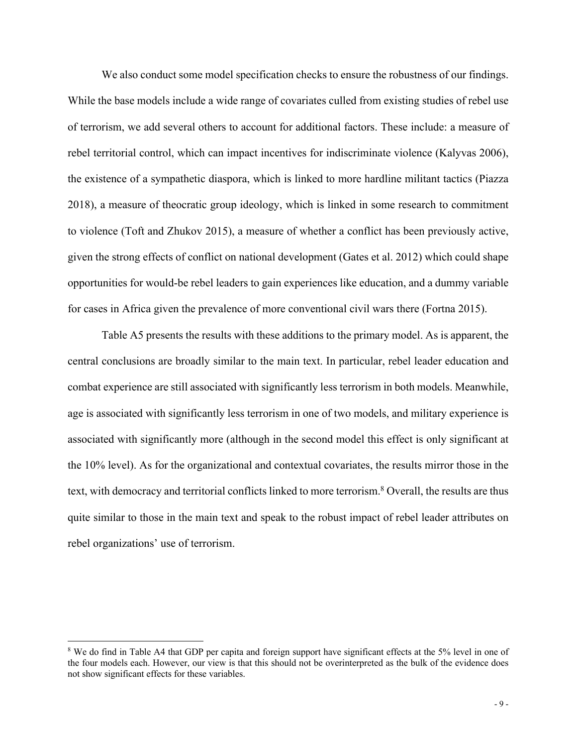We also conduct some model specification checks to ensure the robustness of our findings. While the base models include a wide range of covariates culled from existing studies of rebel use of terrorism, we add several others to account for additional factors. These include: a measure of rebel territorial control, which can impact incentives for indiscriminate violence (Kalyvas 2006), the existence of a sympathetic diaspora, which is linked to more hardline militant tactics (Piazza 2018), a measure of theocratic group ideology, which is linked in some research to commitment to violence (Toft and Zhukov 2015), a measure of whether a conflict has been previously active, given the strong effects of conflict on national development (Gates et al. 2012) which could shape opportunities for would-be rebel leaders to gain experiences like education, and a dummy variable for cases in Africa given the prevalence of more conventional civil wars there (Fortna 2015).

Table A5 presents the results with these additions to the primary model. As is apparent, the central conclusions are broadly similar to the main text. In particular, rebel leader education and combat experience are still associated with significantly less terrorism in both models. Meanwhile, age is associated with significantly less terrorism in one of two models, and military experience is associated with significantly more (although in the second model this effect is only significant at the 10% level). As for the organizational and contextual covariates, the results mirror those in the text, with democracy and territorial conflicts linked to more terrorism. <sup>8</sup> Overall, the results are thus quite similar to those in the main text and speak to the robust impact of rebel leader attributes on rebel organizations' use of terrorism.

<sup>8</sup> We do find in Table A4 that GDP per capita and foreign support have significant effects at the 5% level in one of the four models each. However, our view is that this should not be overinterpreted as the bulk of the evidence does not show significant effects for these variables.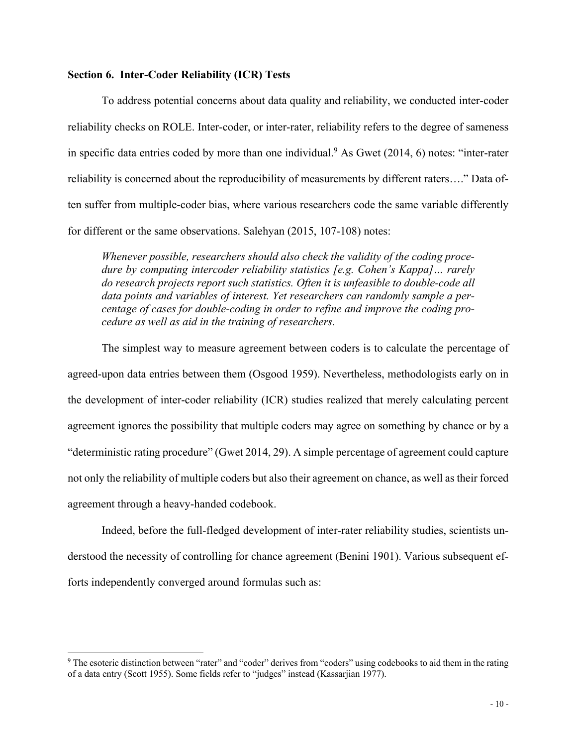### **Section 6. Inter-Coder Reliability (ICR) Tests**

To address potential concerns about data quality and reliability, we conducted inter-coder reliability checks on ROLE. Inter-coder, or inter-rater, reliability refers to the degree of sameness in specific data entries coded by more than one individual.<sup>9</sup> As Gwet  $(2014, 6)$  notes: "inter-rater reliability is concerned about the reproducibility of measurements by different raters…." Data often suffer from multiple-coder bias, where various researchers code the same variable differently for different or the same observations. Salehyan (2015, 107-108) notes:

*Whenever possible, researchers should also check the validity of the coding procedure by computing intercoder reliability statistics [e.g. Cohen's Kappa]… rarely do research projects report such statistics. Often it is unfeasible to double-code all data points and variables of interest. Yet researchers can randomly sample a percentage of cases for double-coding in order to refine and improve the coding procedure as well as aid in the training of researchers.*

The simplest way to measure agreement between coders is to calculate the percentage of agreed-upon data entries between them (Osgood 1959). Nevertheless, methodologists early on in the development of inter-coder reliability (ICR) studies realized that merely calculating percent agreement ignores the possibility that multiple coders may agree on something by chance or by a "deterministic rating procedure" (Gwet 2014, 29). A simple percentage of agreement could capture not only the reliability of multiple coders but also their agreement on chance, as well as their forced agreement through a heavy-handed codebook.

Indeed, before the full-fledged development of inter-rater reliability studies, scientists understood the necessity of controlling for chance agreement (Benini 1901). Various subsequent efforts independently converged around formulas such as:

<sup>&</sup>lt;sup>9</sup> The esoteric distinction between "rater" and "coder" derives from "coders" using codebooks to aid them in the rating of a data entry (Scott 1955). Some fields refer to "judges" instead (Kassarjian 1977).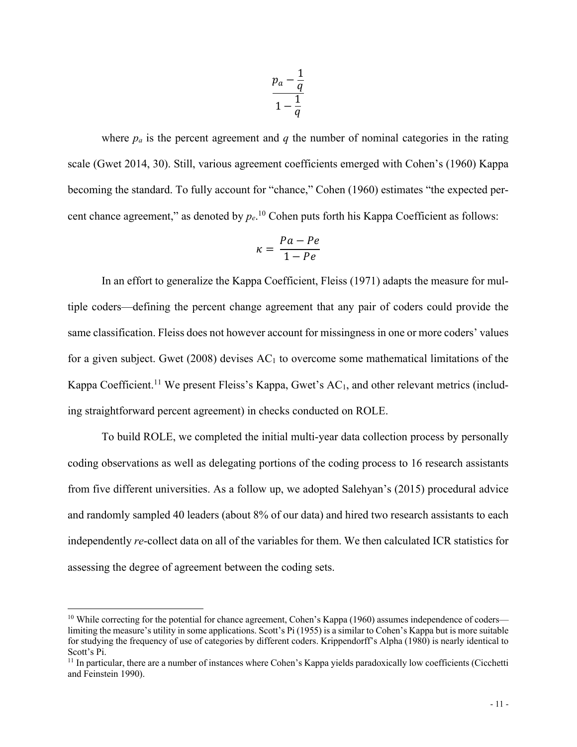$$
\frac{p_a-\frac{1}{q}}{1-\frac{1}{q}}
$$

where  $p_a$  is the percent agreement and  $q$  the number of nominal categories in the rating scale (Gwet 2014, 30). Still, various agreement coefficients emerged with Cohen's (1960) Kappa becoming the standard. To fully account for "chance," Cohen (1960) estimates "the expected percent chance agreement," as denoted by  $p_e$ .<sup>10</sup> Cohen puts forth his Kappa Coefficient as follows:

$$
\kappa = \frac{Pa - Pe}{1 - Pe}
$$

In an effort to generalize the Kappa Coefficient, Fleiss (1971) adapts the measure for multiple coders—defining the percent change agreement that any pair of coders could provide the same classification. Fleiss does not however account for missingness in one or more coders' values for a given subject. Gwet (2008) devises  $AC<sub>1</sub>$  to overcome some mathematical limitations of the Kappa Coefficient.<sup>11</sup> We present Fleiss's Kappa, Gwet's  $AC<sub>1</sub>$ , and other relevant metrics (including straightforward percent agreement) in checks conducted on ROLE.

To build ROLE, we completed the initial multi-year data collection process by personally coding observations as well as delegating portions of the coding process to 16 research assistants from five different universities. As a follow up, we adopted Salehyan's (2015) procedural advice and randomly sampled 40 leaders (about 8% of our data) and hired two research assistants to each independently *re*-collect data on all of the variables for them. We then calculated ICR statistics for assessing the degree of agreement between the coding sets.

<sup>&</sup>lt;sup>10</sup> While correcting for the potential for chance agreement, Cohen's Kappa (1960) assumes independence of coders limiting the measure's utility in some applications. Scott's Pi (1955) is a similar to Cohen's Kappa but is more suitable for studying the frequency of use of categories by different coders. Krippendorff's Alpha (1980) is nearly identical to Scott's Pi.

<sup>&</sup>lt;sup>11</sup> In particular, there are a number of instances where Cohen's Kappa yields paradoxically low coefficients (Cicchetti and Feinstein 1990).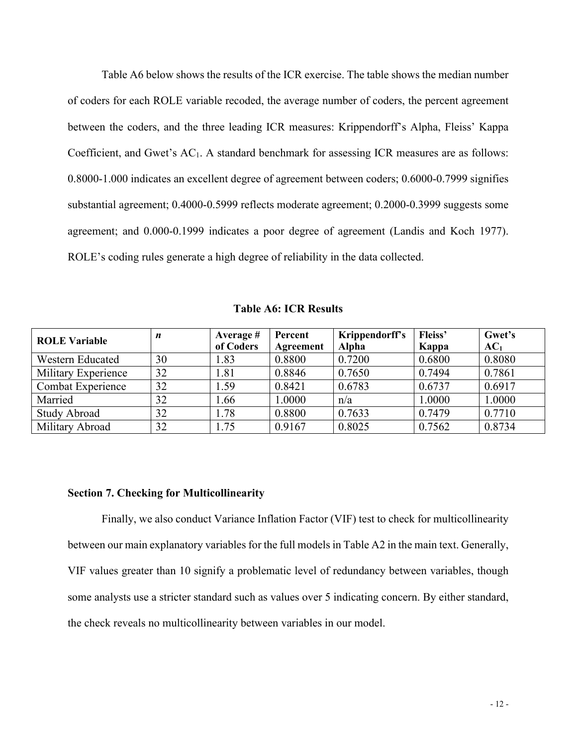Table A6 below shows the results of the ICR exercise. The table shows the median number of coders for each ROLE variable recoded, the average number of coders, the percent agreement between the coders, and the three leading ICR measures: Krippendorff's Alpha, Fleiss' Kappa Coefficient, and Gwet's  $AC<sub>1</sub>$ . A standard benchmark for assessing ICR measures are as follows: 0.8000-1.000 indicates an excellent degree of agreement between coders; 0.6000-0.7999 signifies substantial agreement; 0.4000-0.5999 reflects moderate agreement; 0.2000-0.3999 suggests some agreement; and 0.000-0.1999 indicates a poor degree of agreement (Landis and Koch 1977). ROLE's coding rules generate a high degree of reliability in the data collected.

| <b>ROLE Variable</b> | n  | Average #<br>of Coders | Percent<br>Agreement | Krippendorff's<br><b>Alpha</b> | Fleiss'<br>Kappa | Gwet's<br>AC <sub>1</sub> |
|----------------------|----|------------------------|----------------------|--------------------------------|------------------|---------------------------|
| Western Educated     | 30 | 1.83                   | 0.8800               | 0.7200                         | 0.6800           | 0.8080                    |
| Military Experience  | 32 | 1.81                   | 0.8846               | 0.7650                         | 0.7494           | 0.7861                    |
| Combat Experience    | 32 | 1.59                   | 0.8421               | 0.6783                         | 0.6737           | 0.6917                    |
| Married              | 32 | 1.66                   | 1.0000               | n/a                            | 1.0000           | 1.0000                    |
| <b>Study Abroad</b>  | 32 | 1.78                   | 0.8800               | 0.7633                         | 0.7479           | 0.7710                    |
| Military Abroad      | 32 | 1.75                   | 0.9167               | 0.8025                         | 0.7562           | 0.8734                    |

**Table A6: ICR Results**

### **Section 7. Checking for Multicollinearity**

Finally, we also conduct Variance Inflation Factor (VIF) test to check for multicollinearity between our main explanatory variables for the full models in Table A2 in the main text. Generally, VIF values greater than 10 signify a problematic level of redundancy between variables, though some analysts use a stricter standard such as values over 5 indicating concern. By either standard, the check reveals no multicollinearity between variables in our model.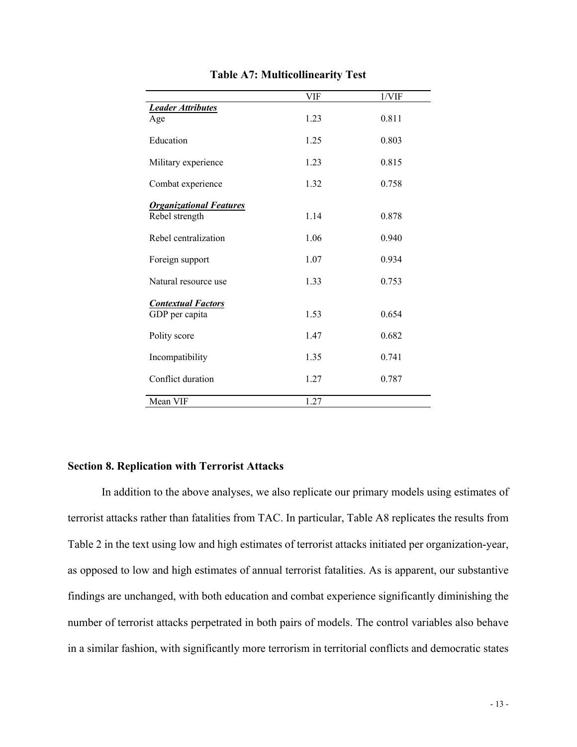|                                | VIF  | 1/VIF |
|--------------------------------|------|-------|
| <b>Leader Attributes</b>       |      |       |
| Age                            | 1.23 | 0.811 |
| Education                      | 1.25 | 0.803 |
| Military experience            | 1.23 | 0.815 |
| Combat experience              | 1.32 | 0.758 |
| <b>Organizational Features</b> |      |       |
| Rebel strength                 | 1.14 | 0.878 |
| Rebel centralization           | 1.06 | 0.940 |
| Foreign support                | 1.07 | 0.934 |
| Natural resource use           | 1.33 | 0.753 |
| <b>Contextual Factors</b>      |      |       |
| GDP per capita                 | 1.53 | 0.654 |
| Polity score                   | 1.47 | 0.682 |
| Incompatibility                | 1.35 | 0.741 |
| Conflict duration              | 1.27 | 0.787 |
| Mean VIF                       | 1.27 |       |

**Table A7: Multicollinearity Test**

### **Section 8. Replication with Terrorist Attacks**

In addition to the above analyses, we also replicate our primary models using estimates of terrorist attacks rather than fatalities from TAC. In particular, Table A8 replicates the results from Table 2 in the text using low and high estimates of terrorist attacks initiated per organization-year, as opposed to low and high estimates of annual terrorist fatalities. As is apparent, our substantive findings are unchanged, with both education and combat experience significantly diminishing the number of terrorist attacks perpetrated in both pairs of models. The control variables also behave in a similar fashion, with significantly more terrorism in territorial conflicts and democratic states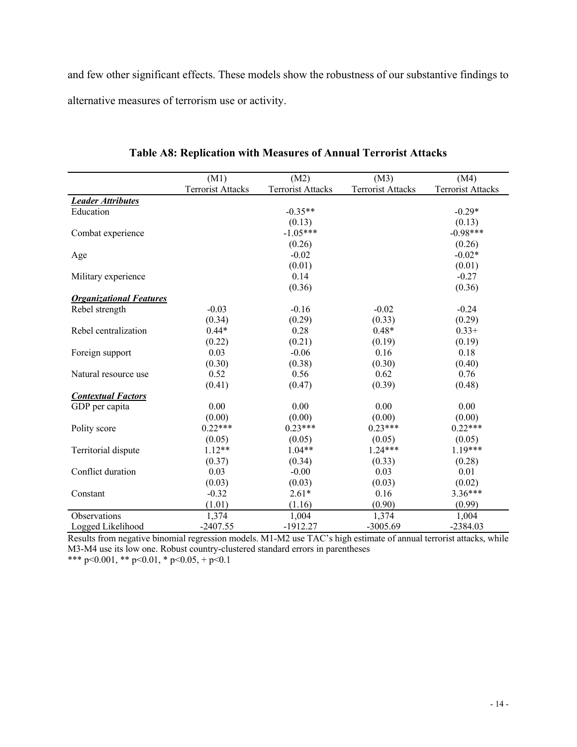and few other significant effects. These models show the robustness of our substantive findings to alternative measures of terrorism use or activity.

|                                | (M1)                     | (M2)                     | (M3)                     | (M4)                     |
|--------------------------------|--------------------------|--------------------------|--------------------------|--------------------------|
|                                | <b>Terrorist Attacks</b> | <b>Terrorist Attacks</b> | <b>Terrorist Attacks</b> | <b>Terrorist Attacks</b> |
| <b>Leader Attributes</b>       |                          |                          |                          |                          |
| Education                      |                          | $-0.35**$                |                          | $-0.29*$                 |
|                                |                          | (0.13)                   |                          | (0.13)                   |
| Combat experience              |                          | $-1.05***$               |                          | $-0.98***$               |
|                                |                          | (0.26)                   |                          | (0.26)                   |
| Age                            |                          | $-0.02$                  |                          | $-0.02*$                 |
|                                |                          | (0.01)                   |                          | (0.01)                   |
| Military experience            |                          | 0.14                     |                          | $-0.27$                  |
|                                |                          | (0.36)                   |                          | (0.36)                   |
| <b>Organizational Features</b> |                          |                          |                          |                          |
| Rebel strength                 | $-0.03$                  | $-0.16$                  | $-0.02$                  | $-0.24$                  |
|                                | (0.34)                   | (0.29)                   | (0.33)                   | (0.29)                   |
| Rebel centralization           | $0.44*$                  | 0.28                     | $0.48*$                  | $0.33+$                  |
|                                | (0.22)                   | (0.21)                   | (0.19)                   | (0.19)                   |
| Foreign support                | 0.03                     | $-0.06$                  | 0.16                     | 0.18                     |
|                                | (0.30)                   | (0.38)                   | (0.30)                   | (0.40)                   |
| Natural resource use           | 0.52                     | 0.56                     | 0.62                     | 0.76                     |
|                                | (0.41)                   | (0.47)                   | (0.39)                   | (0.48)                   |
| <b>Contextual Factors</b>      |                          |                          |                          |                          |
| GDP per capita                 | 0.00                     | 0.00                     | 0.00                     | 0.00                     |
|                                | (0.00)                   | (0.00)                   | (0.00)                   | (0.00)                   |
| Polity score                   | $0.22***$                | $0.23***$                | $0.23***$                | $0.22***$                |
|                                | (0.05)                   | (0.05)                   | (0.05)                   | (0.05)                   |
| Territorial dispute            | $1.12**$                 | $1.04**$                 | $1.24***$                | $1.19***$                |
|                                | (0.37)                   | (0.34)                   | (0.33)                   | (0.28)                   |
| Conflict duration              | 0.03                     | $-0.00$                  | 0.03                     | 0.01                     |
|                                | (0.03)                   | (0.03)                   | (0.03)                   | (0.02)                   |
| Constant                       | $-0.32$                  | $2.61*$                  | 0.16                     | $3.36***$                |
|                                | (1.01)                   | (1.16)                   | (0.90)                   | (0.99)                   |
| Observations                   | 1,374                    | 1,004                    | 1,374                    | 1,004                    |
| Logged Likelihood              | $-2407.55$               | $-1912.27$               | $-3005.69$               | $-2384.03$               |

**Table A8: Replication with Measures of Annual Terrorist Attacks**

Results from negative binomial regression models. M1-M2 use TAC's high estimate of annual terrorist attacks, while M3-M4 use its low one. Robust country-clustered standard errors in parentheses

\*\*\* p<0.001, \*\* p<0.01, \* p<0.05, + p<0.1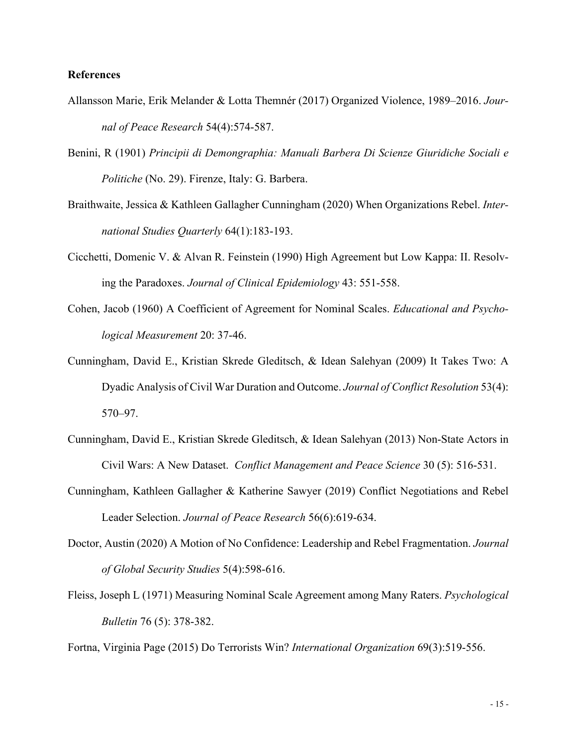### **References**

- Allansson Marie, Erik Melander & Lotta Themnér (2017) Organized Violence, 1989–2016. *Journal of Peace Research* 54(4):574-587.
- Benini, R (1901) *Principii di Demongraphia: Manuali Barbera Di Scienze Giuridiche Sociali e Politiche* (No. 29). Firenze, Italy: G. Barbera.
- Braithwaite, Jessica & Kathleen Gallagher Cunningham (2020) When Organizations Rebel. *International Studies Quarterly* 64(1):183-193.
- Cicchetti, Domenic V. & Alvan R. Feinstein (1990) High Agreement but Low Kappa: II. Resolving the Paradoxes. *Journal of Clinical Epidemiology* 43: 551-558.
- Cohen, Jacob (1960) A Coefficient of Agreement for Nominal Scales. *Educational and Psychological Measurement* 20: 37-46.
- Cunningham, David E., Kristian Skrede Gleditsch, & Idean Salehyan (2009) It Takes Two: A Dyadic Analysis of Civil War Duration and Outcome. *Journal of Conflict Resolution* 53(4): 570–97.
- Cunningham, David E., Kristian Skrede Gleditsch, & Idean Salehyan (2013) Non-State Actors in Civil Wars: A New Dataset. *Conflict Management and Peace Science* 30 (5): 516-531.
- Cunningham, Kathleen Gallagher & Katherine Sawyer (2019) Conflict Negotiations and Rebel Leader Selection. *Journal of Peace Research* 56(6):619-634.
- Doctor, Austin (2020) A Motion of No Confidence: Leadership and Rebel Fragmentation. *Journal of Global Security Studies* 5(4):598-616.
- Fleiss, Joseph L (1971) Measuring Nominal Scale Agreement among Many Raters. *Psychological Bulletin* 76 (5): 378-382.

Fortna, Virginia Page (2015) Do Terrorists Win? *International Organization* 69(3):519-556.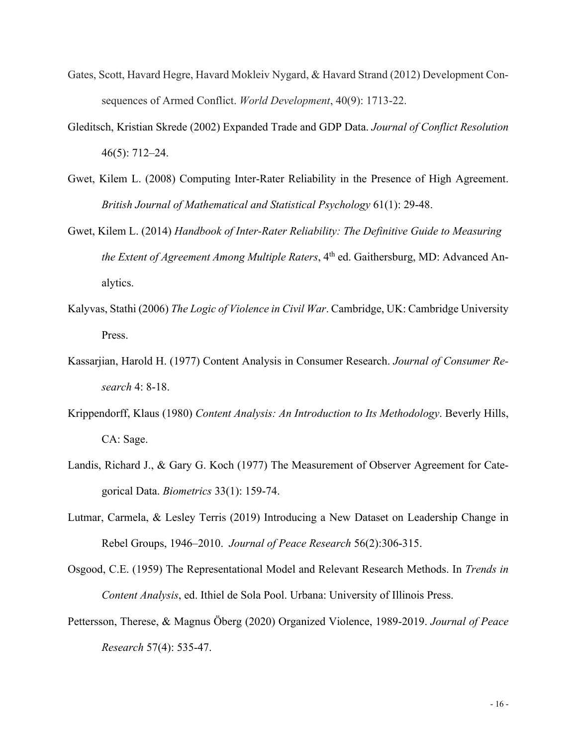- Gates, Scott, Havard Hegre, Havard Mokleiv Nygard, & Havard Strand (2012) Development Consequences of Armed Conflict. *World Development*, 40(9): 1713-22.
- Gleditsch, Kristian Skrede (2002) Expanded Trade and GDP Data. *Journal of Conflict Resolution* 46(5): 712–24.
- Gwet, Kilem L. (2008) Computing Inter-Rater Reliability in the Presence of High Agreement. *British Journal of Mathematical and Statistical Psychology* 61(1): 29-48.
- Gwet, Kilem L. (2014) *Handbook of Inter-Rater Reliability: The Definitive Guide to Measuring the Extent of Agreement Among Multiple Raters*, 4<sup>th</sup> ed. Gaithersburg, MD: Advanced Analytics.
- Kalyvas, Stathi (2006) *The Logic of Violence in Civil War*. Cambridge, UK: Cambridge University Press.
- Kassarjian, Harold H. (1977) Content Analysis in Consumer Research. *Journal of Consumer Research* 4: 8-18.
- Krippendorff, Klaus (1980) *Content Analysis: An Introduction to Its Methodology*. Beverly Hills, CA: Sage.
- Landis, Richard J., & Gary G. Koch (1977) The Measurement of Observer Agreement for Categorical Data. *Biometrics* 33(1): 159-74.
- Lutmar, Carmela, & Lesley Terris (2019) Introducing a New Dataset on Leadership Change in Rebel Groups, 1946–2010. *Journal of Peace Research* 56(2):306-315.
- Osgood, C.E. (1959) The Representational Model and Relevant Research Methods. In *Trends in Content Analysis*, ed. Ithiel de Sola Pool. Urbana: University of Illinois Press.
- Pettersson, Therese, & Magnus Öberg (2020) Organized Violence, 1989-2019. *Journal of Peace Research* 57(4): 535-47.